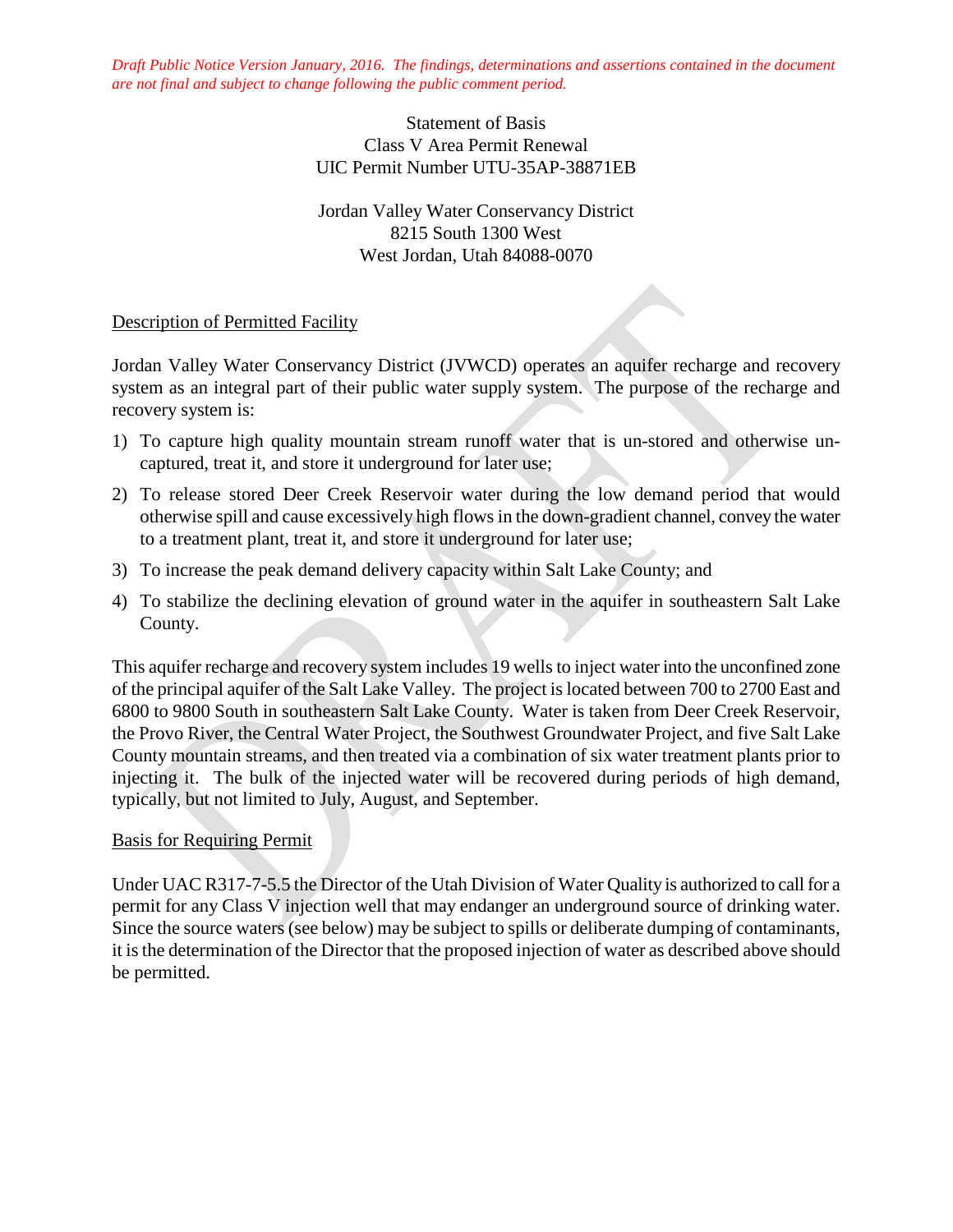*Draft Public Notice Version January, 2016. The findings, determinations and assertions contained in the document are not final and subject to change following the public comment period.*

## Statement of Basis Class V Area Permit Renewal UIC Permit Number UTU-35AP-38871EB

Jordan Valley Water Conservancy District 8215 South 1300 West West Jordan, Utah 84088-0070

## Description of Permitted Facility

Jordan Valley Water Conservancy District (JVWCD) operates an aquifer recharge and recovery system as an integral part of their public water supply system. The purpose of the recharge and recovery system is:

- 1) To capture high quality mountain stream runoff water that is un-stored and otherwise uncaptured, treat it, and store it underground for later use;
- 2) To release stored Deer Creek Reservoir water during the low demand period that would otherwise spill and cause excessively high flows in the down-gradient channel, convey the water to a treatment plant, treat it, and store it underground for later use;
- 3) To increase the peak demand delivery capacity within Salt Lake County; and
- 4) To stabilize the declining elevation of ground water in the aquifer in southeastern Salt Lake County.

This aquifer recharge and recovery system includes 19 wells to inject water into the unconfined zone of the principal aquifer of the Salt Lake Valley. The project is located between 700 to 2700 East and 6800 to 9800 South in southeastern Salt Lake County. Water is taken from Deer Creek Reservoir, the Provo River, the Central Water Project, the Southwest Groundwater Project, and five Salt Lake County mountain streams, and then treated via a combination of six water treatment plants prior to injecting it. The bulk of the injected water will be recovered during periods of high demand, typically, but not limited to July, August, and September.

### Basis for Requiring Permit

Under UAC R317-7-5.5 the Director of the Utah Division of Water Quality is authorized to call for a permit for any Class V injection well that may endanger an underground source of drinking water. Since the source waters (see below) may be subject to spills or deliberate dumping of contaminants, it is the determination of the Director that the proposed injection of water as described above should be permitted.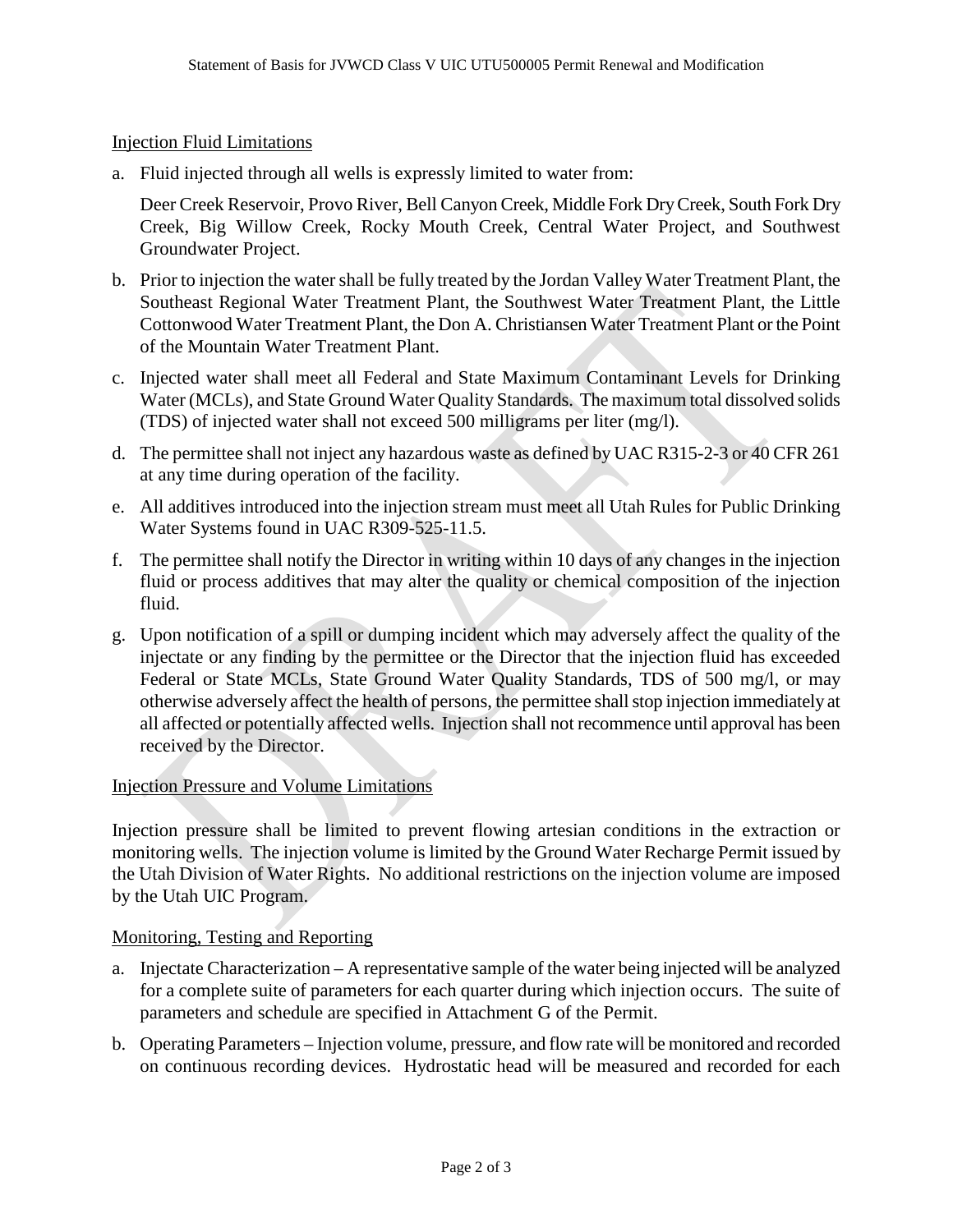## Injection Fluid Limitations

a. Fluid injected through all wells is expressly limited to water from:

Deer Creek Reservoir, Provo River, Bell Canyon Creek, Middle Fork Dry Creek, South Fork Dry Creek, Big Willow Creek, Rocky Mouth Creek, Central Water Project, and Southwest Groundwater Project.

- b. Prior to injection the water shall be fully treated by the Jordan Valley Water Treatment Plant, the Southeast Regional Water Treatment Plant, the Southwest Water Treatment Plant, the Little Cottonwood Water Treatment Plant, the Don A. Christiansen Water Treatment Plant or the Point of the Mountain Water Treatment Plant.
- c. Injected water shall meet all Federal and State Maximum Contaminant Levels for Drinking Water (MCLs), and State Ground Water Quality Standards. The maximum total dissolved solids (TDS) of injected water shall not exceed 500 milligrams per liter (mg/l).
- d. The permittee shall not inject any hazardous waste as defined by UAC R315-2-3 or 40 CFR 261 at any time during operation of the facility.
- e. All additives introduced into the injection stream must meet all Utah Rules for Public Drinking Water Systems found in UAC R309-525-11.5.
- f. The permittee shall notify the Director in writing within 10 days of any changes in the injection fluid or process additives that may alter the quality or chemical composition of the injection fluid.
- g. Upon notification of a spill or dumping incident which may adversely affect the quality of the injectate or any finding by the permittee or the Director that the injection fluid has exceeded Federal or State MCLs, State Ground Water Quality Standards, TDS of 500 mg/l, or may otherwise adversely affect the health of persons, the permittee shall stop injection immediately at all affected or potentially affected wells. Injection shall not recommence until approval has been received by the Director.

# Injection Pressure and Volume Limitations

Injection pressure shall be limited to prevent flowing artesian conditions in the extraction or monitoring wells. The injection volume is limited by the Ground Water Recharge Permit issued by the Utah Division of Water Rights. No additional restrictions on the injection volume are imposed by the Utah UIC Program.

### Monitoring, Testing and Reporting

- a. Injectate Characterization A representative sample of the water being injected will be analyzed for a complete suite of parameters for each quarter during which injection occurs. The suite of parameters and schedule are specified in Attachment G of the Permit.
- b. Operating Parameters Injection volume, pressure, and flow rate will be monitored and recorded on continuous recording devices. Hydrostatic head will be measured and recorded for each